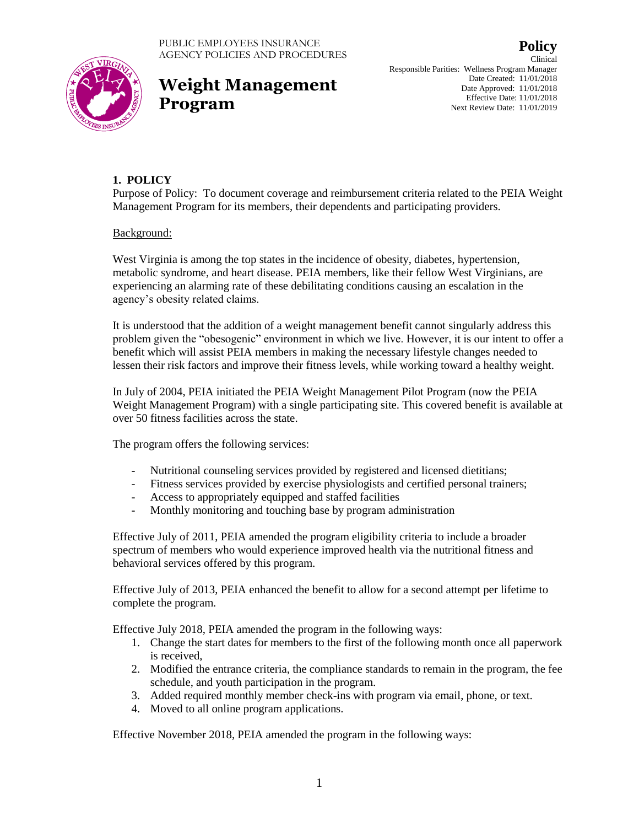



# **Weight Management Program**

Clinical Responsible Parities: Wellness Program Manager Date Created: 11/01/2018 Date Approved: 11/01/2018 Effective Date: 11/01/2018 Next Review Date: 11/01/2019

## **1. POLICY**

Purpose of Policy: To document coverage and reimbursement criteria related to the PEIA Weight Management Program for its members, their dependents and participating providers.

### Background:

West Virginia is among the top states in the incidence of obesity, diabetes, hypertension, metabolic syndrome, and heart disease. PEIA members, like their fellow West Virginians, are experiencing an alarming rate of these debilitating conditions causing an escalation in the agency's obesity related claims.

It is understood that the addition of a weight management benefit cannot singularly address this problem given the "obesogenic" environment in which we live. However, it is our intent to offer a benefit which will assist PEIA members in making the necessary lifestyle changes needed to lessen their risk factors and improve their fitness levels, while working toward a healthy weight.

In July of 2004, PEIA initiated the PEIA Weight Management Pilot Program (now the PEIA Weight Management Program) with a single participating site. This covered benefit is available at over 50 fitness facilities across the state.

The program offers the following services:

- Nutritional counseling services provided by registered and licensed dietitians;
- Fitness services provided by exercise physiologists and certified personal trainers;
- Access to appropriately equipped and staffed facilities
- Monthly monitoring and touching base by program administration

Effective July of 2011, PEIA amended the program eligibility criteria to include a broader spectrum of members who would experience improved health via the nutritional fitness and behavioral services offered by this program.

Effective July of 2013, PEIA enhanced the benefit to allow for a second attempt per lifetime to complete the program.

Effective July 2018, PEIA amended the program in the following ways:

- 1. Change the start dates for members to the first of the following month once all paperwork is received,
- 2. Modified the entrance criteria, the compliance standards to remain in the program, the fee schedule, and youth participation in the program.
- 3. Added required monthly member check-ins with program via email, phone, or text.
- 4. Moved to all online program applications.

Effective November 2018, PEIA amended the program in the following ways: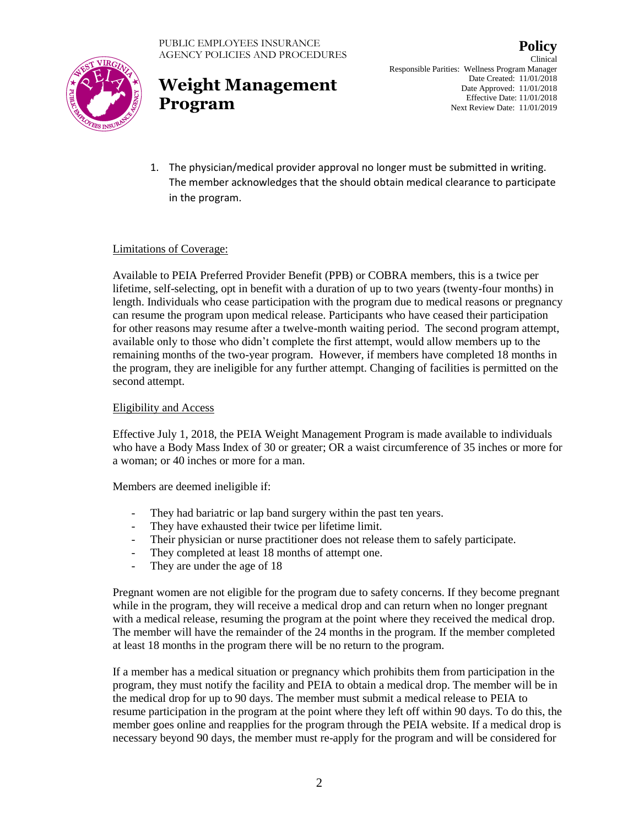

## **Weight Management Program**

**Policy** Clinical Responsible Parities: Wellness Program Manager Date Created: 11/01/2018 Date Approved: 11/01/2018 Effective Date: 11/01/2018 Next Review Date: 11/01/2019

1. The physician/medical provider approval no longer must be submitted in writing. The member acknowledges that the should obtain medical clearance to participate in the program.

### Limitations of Coverage:

Available to PEIA Preferred Provider Benefit (PPB) or COBRA members, this is a twice per lifetime, self-selecting, opt in benefit with a duration of up to two years (twenty-four months) in length. Individuals who cease participation with the program due to medical reasons or pregnancy can resume the program upon medical release. Participants who have ceased their participation for other reasons may resume after a twelve-month waiting period. The second program attempt, available only to those who didn't complete the first attempt, would allow members up to the remaining months of the two-year program. However, if members have completed 18 months in the program, they are ineligible for any further attempt. Changing of facilities is permitted on the second attempt.

#### Eligibility and Access

Effective July 1, 2018, the PEIA Weight Management Program is made available to individuals who have a Body Mass Index of 30 or greater; OR a waist circumference of 35 inches or more for a woman; or 40 inches or more for a man.

Members are deemed ineligible if:

- They had bariatric or lap band surgery within the past ten years.
- They have exhausted their twice per lifetime limit.
- Their physician or nurse practitioner does not release them to safely participate.
- They completed at least 18 months of attempt one.
- They are under the age of 18

Pregnant women are not eligible for the program due to safety concerns. If they become pregnant while in the program, they will receive a medical drop and can return when no longer pregnant with a medical release, resuming the program at the point where they received the medical drop. The member will have the remainder of the 24 months in the program. If the member completed at least 18 months in the program there will be no return to the program.

If a member has a medical situation or pregnancy which prohibits them from participation in the program, they must notify the facility and PEIA to obtain a medical drop. The member will be in the medical drop for up to 90 days. The member must submit a medical release to PEIA to resume participation in the program at the point where they left off within 90 days. To do this, the member goes online and reapplies for the program through the PEIA website. If a medical drop is necessary beyond 90 days, the member must re-apply for the program and will be considered for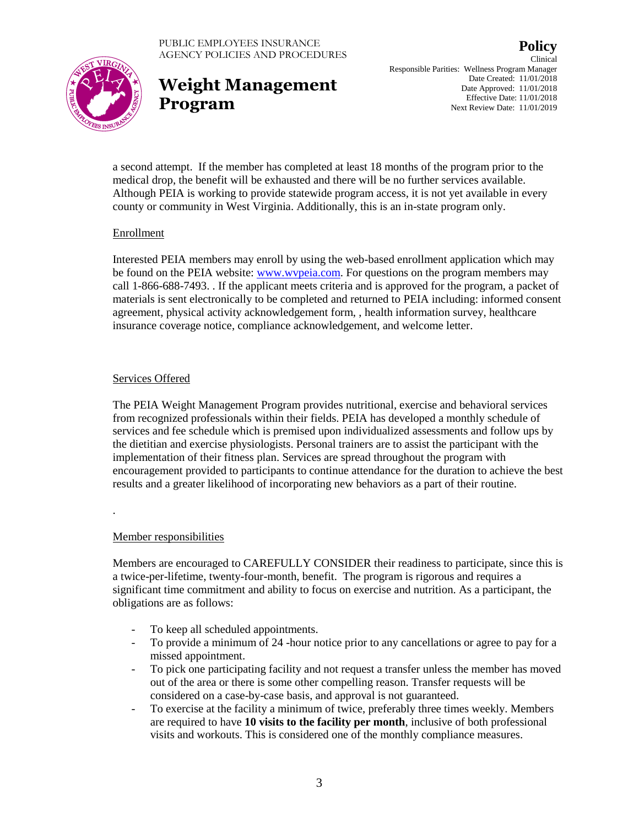

# **Weight Management Program**

**Policy** Clinical Responsible Parities: Wellness Program Manager Date Created: 11/01/2018 Date Approved: 11/01/2018 Effective Date: 11/01/2018 Next Review Date: 11/01/2019

a second attempt. If the member has completed at least 18 months of the program prior to the medical drop, the benefit will be exhausted and there will be no further services available. Although PEIA is working to provide statewide program access, it is not yet available in every county or community in West Virginia. Additionally, this is an in-state program only.

### Enrollment

Interested PEIA members may enroll by using the web-based enrollment application which may be found on the PEIA website: [www.wvpeia.com.](http://www.wvpeia.com/) For questions on the program members may call 1-866-688-7493. . If the applicant meets criteria and is approved for the program, a packet of materials is sent electronically to be completed and returned to PEIA including: informed consent agreement, physical activity acknowledgement form, , health information survey, healthcare insurance coverage notice, compliance acknowledgement, and welcome letter.

### Services Offered

The PEIA Weight Management Program provides nutritional, exercise and behavioral services from recognized professionals within their fields. PEIA has developed a monthly schedule of services and fee schedule which is premised upon individualized assessments and follow ups by the dietitian and exercise physiologists. Personal trainers are to assist the participant with the implementation of their fitness plan. Services are spread throughout the program with encouragement provided to participants to continue attendance for the duration to achieve the best results and a greater likelihood of incorporating new behaviors as a part of their routine.

### Member responsibilities

.

Members are encouraged to CAREFULLY CONSIDER their readiness to participate, since this is a twice-per-lifetime, twenty-four-month, benefit. The program is rigorous and requires a significant time commitment and ability to focus on exercise and nutrition. As a participant, the obligations are as follows:

- To keep all scheduled appointments.
- To provide a minimum of 24 -hour notice prior to any cancellations or agree to pay for a missed appointment.
- To pick one participating facility and not request a transfer unless the member has moved out of the area or there is some other compelling reason. Transfer requests will be considered on a case-by-case basis, and approval is not guaranteed.
- To exercise at the facility a minimum of twice, preferably three times weekly. Members are required to have **10 visits to the facility per month**, inclusive of both professional visits and workouts. This is considered one of the monthly compliance measures.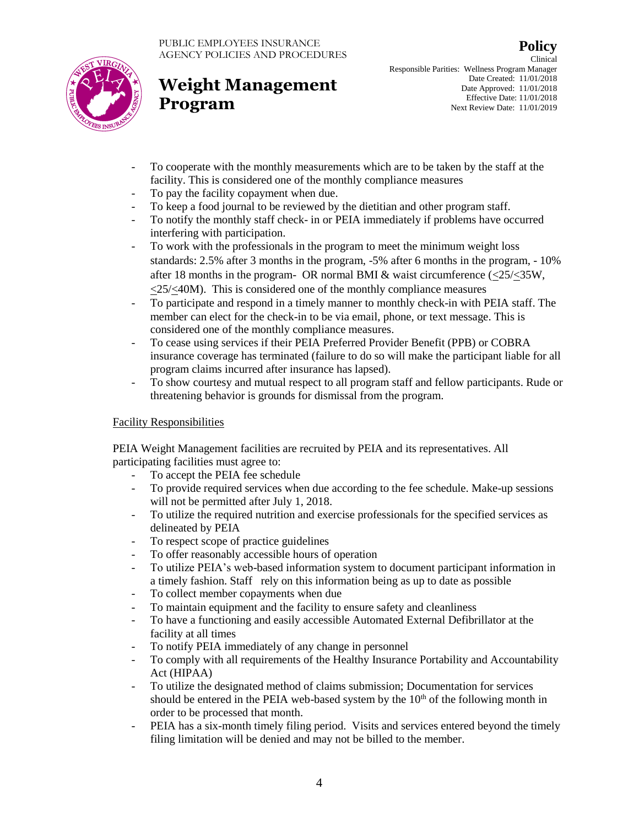



# **Weight Management Program**

Clinical Responsible Parities: Wellness Program Manager Date Created: 11/01/2018 Date Approved: 11/01/2018 Effective Date: 11/01/2018 Next Review Date: 11/01/2019

- To cooperate with the monthly measurements which are to be taken by the staff at the facility. This is considered one of the monthly compliance measures
- To pay the facility copayment when due.
- To keep a food journal to be reviewed by the dietitian and other program staff.
- To notify the monthly staff check- in or PEIA immediately if problems have occurred interfering with participation.
- To work with the professionals in the program to meet the minimum weight loss standards: 2.5% after 3 months in the program, -5% after 6 months in the program, - 10% after 18 months in the program- OR normal BMI  $\&$  waist circumference ( $\leq$ 25/ $\leq$ 35W,  $\langle 25/\langle 40M \rangle$ . This is considered one of the monthly compliance measures
- To participate and respond in a timely manner to monthly check-in with PEIA staff. The member can elect for the check-in to be via email, phone, or text message. This is considered one of the monthly compliance measures.
- To cease using services if their PEIA Preferred Provider Benefit (PPB) or COBRA insurance coverage has terminated (failure to do so will make the participant liable for all program claims incurred after insurance has lapsed).
- To show courtesy and mutual respect to all program staff and fellow participants. Rude or threatening behavior is grounds for dismissal from the program.

### Facility Responsibilities

PEIA Weight Management facilities are recruited by PEIA and its representatives. All participating facilities must agree to:

- To accept the PEIA fee schedule
- To provide required services when due according to the fee schedule. Make-up sessions will not be permitted after July 1, 2018.
- To utilize the required nutrition and exercise professionals for the specified services as delineated by PEIA
- To respect scope of practice guidelines
- To offer reasonably accessible hours of operation
- To utilize PEIA's web-based information system to document participant information in a timely fashion. Staff rely on this information being as up to date as possible
- To collect member copayments when due
- To maintain equipment and the facility to ensure safety and cleanliness
- To have a functioning and easily accessible Automated External Defibrillator at the facility at all times
- To notify PEIA immediately of any change in personnel
- To comply with all requirements of the Healthy Insurance Portability and Accountability Act (HIPAA)
- To utilize the designated method of claims submission; Documentation for services should be entered in the PEIA web-based system by the  $10<sup>th</sup>$  of the following month in order to be processed that month.
- PEIA has a six-month timely filing period. Visits and services entered beyond the timely filing limitation will be denied and may not be billed to the member.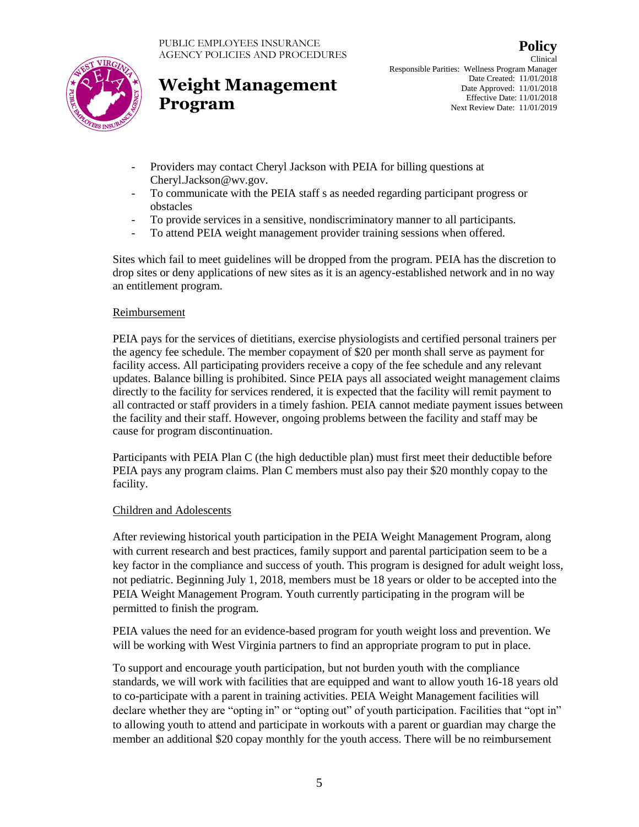



# **Weight Management Program**

Clinical Responsible Parities: Wellness Program Manager Date Created: 11/01/2018 Date Approved: 11/01/2018 Effective Date: 11/01/2018 Next Review Date: 11/01/2019

- Providers may contact Cheryl Jackson with PEIA for billing questions at Cheryl.Jackson@wv.gov.
- To communicate with the PEIA staff s as needed regarding participant progress or obstacles
- To provide services in a sensitive, nondiscriminatory manner to all participants.
- To attend PEIA weight management provider training sessions when offered.

Sites which fail to meet guidelines will be dropped from the program. PEIA has the discretion to drop sites or deny applications of new sites as it is an agency-established network and in no way an entitlement program.

### Reimbursement

PEIA pays for the services of dietitians, exercise physiologists and certified personal trainers per the agency fee schedule. The member copayment of \$20 per month shall serve as payment for facility access. All participating providers receive a copy of the fee schedule and any relevant updates. Balance billing is prohibited. Since PEIA pays all associated weight management claims directly to the facility for services rendered, it is expected that the facility will remit payment to all contracted or staff providers in a timely fashion. PEIA cannot mediate payment issues between the facility and their staff. However, ongoing problems between the facility and staff may be cause for program discontinuation.

Participants with PEIA Plan C (the high deductible plan) must first meet their deductible before PEIA pays any program claims. Plan C members must also pay their \$20 monthly copay to the facility.

### Children and Adolescents

After reviewing historical youth participation in the PEIA Weight Management Program, along with current research and best practices, family support and parental participation seem to be a key factor in the compliance and success of youth. This program is designed for adult weight loss, not pediatric. Beginning July 1, 2018, members must be 18 years or older to be accepted into the PEIA Weight Management Program. Youth currently participating in the program will be permitted to finish the program.

PEIA values the need for an evidence-based program for youth weight loss and prevention. We will be working with West Virginia partners to find an appropriate program to put in place.

To support and encourage youth participation, but not burden youth with the compliance standards, we will work with facilities that are equipped and want to allow youth 16-18 years old to co-participate with a parent in training activities. PEIA Weight Management facilities will declare whether they are "opting in" or "opting out" of youth participation. Facilities that "opt in" to allowing youth to attend and participate in workouts with a parent or guardian may charge the member an additional \$20 copay monthly for the youth access. There will be no reimbursement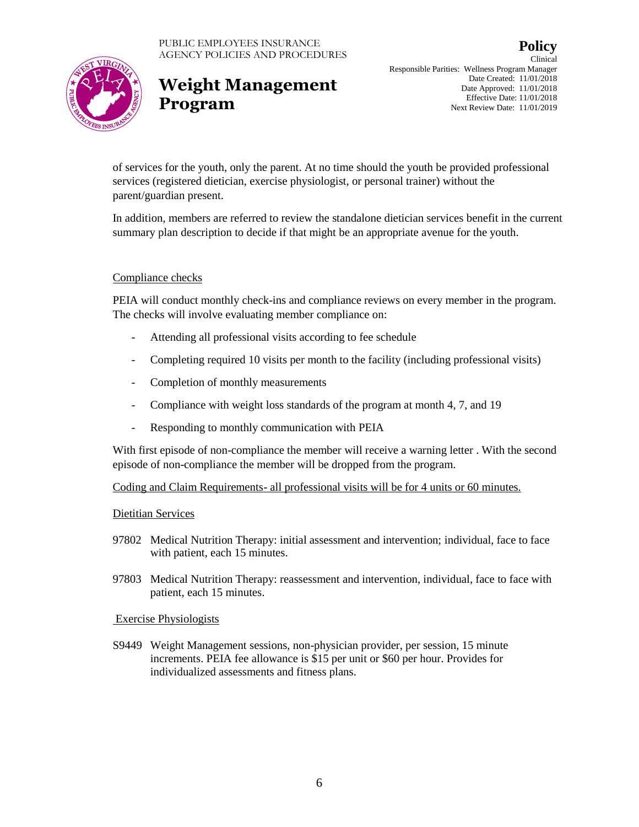

## **Weight Management Program**

**Policy** Clinical Responsible Parities: Wellness Program Manager Date Created: 11/01/2018 Date Approved: 11/01/2018 Effective Date: 11/01/2018 Next Review Date: 11/01/2019

of services for the youth, only the parent. At no time should the youth be provided professional services (registered dietician, exercise physiologist, or personal trainer) without the parent/guardian present.

In addition, members are referred to review the standalone dietician services benefit in the current summary plan description to decide if that might be an appropriate avenue for the youth.

### Compliance checks

PEIA will conduct monthly check-ins and compliance reviews on every member in the program. The checks will involve evaluating member compliance on:

- Attending all professional visits according to fee schedule
- Completing required 10 visits per month to the facility (including professional visits)
- Completion of monthly measurements
- Compliance with weight loss standards of the program at month 4, 7, and 19
- Responding to monthly communication with PEIA

With first episode of non-compliance the member will receive a warning letter. With the second episode of non-compliance the member will be dropped from the program.

Coding and Claim Requirements- all professional visits will be for 4 units or 60 minutes.

#### Dietitian Services

- 97802 Medical Nutrition Therapy: initial assessment and intervention; individual, face to face with patient, each 15 minutes.
- 97803 Medical Nutrition Therapy: reassessment and intervention, individual, face to face with patient, each 15 minutes.

### Exercise Physiologists

S9449 Weight Management sessions, non-physician provider, per session, 15 minute increments. PEIA fee allowance is \$15 per unit or \$60 per hour. Provides for individualized assessments and fitness plans.